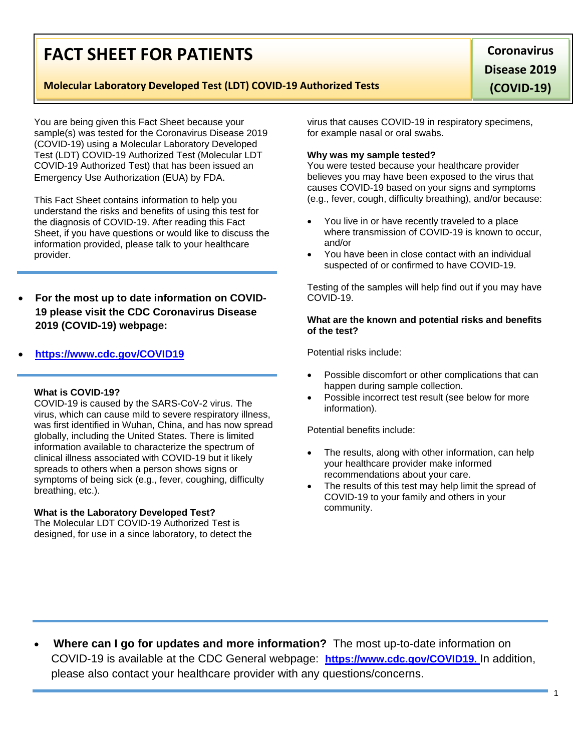# **FACT SHEET FOR PATIENTS**

## **Molecular Laboratory Developed Test (LDT) COVID-19 Authorized Tests**

You are being given this Fact Sheet because your sample(s) was tested for the Coronavirus Disease 2019 (COVID-19) using a Molecular Laboratory Developed Test (LDT) COVID-19 Authorized Test (Molecular LDT COVID-19 Authorized Test) that has been issued an Emergency Use Authorization (EUA) by FDA.

This Fact Sheet contains information to help you understand the risks and benefits of using this test for the diagnosis of COVID-19. After reading this Fact Sheet, if you have questions or would like to discuss the information provided, please talk to your healthcare provider.

• **For the most up to date information on COVID-19 please visit the CDC Coronavirus Disease 2019 (COVID-19) webpage:**

# • **[https://www.cdc.gov/COVID19](https://www.cdc.gov/nCoV)**

### **What is COVID-19?**

COVID-19 is caused by the SARS-CoV-2 virus. The virus, which can cause mild to severe respiratory illness, was first identified in Wuhan, China, and has now spread globally, including the United States. There is limited information available to characterize the spectrum of clinical illness associated with COVID-19 but it likely spreads to others when a person shows signs or symptoms of being sick (e.g., fever, coughing, difficulty breathing, etc.).

### **What is the Laboratory Developed Test?**

The Molecular LDT COVID-19 Authorized Test is designed, for use in a since laboratory, to detect the

virus that causes COVID-19 in respiratory specimens, for example nasal or oral swabs.

#### **Why was my sample tested?**

You were tested because your healthcare provider believes you may have been exposed to the virus that causes COVID-19 based on your signs and symptoms (e.g., fever, cough, difficulty breathing), and/or because:

- You live in or have recently traveled to a place where transmission of COVID-19 is known to occur, and/or
- You have been in close contact with an individual suspected of or confirmed to have COVID-19.

Testing of the samples will help find out if you may have COVID-19.

### **What are the known and potential risks and benefits of the test?**

Potential risks include:

- Possible discomfort or other complications that can happen during sample collection.
- Possible incorrect test result (see below for more information).

Potential benefits include:

- The results, along with other information, can help your healthcare provider make informed recommendations about your care.
- The results of this test may help limit the spread of COVID-19 to your family and others in your community.

• **Where can I go for updates and more information?** The most up-to-date information on COVID-19 is available at the CDC General webpage: **[https://www.cdc.gov/COVID19.](https://www.cdc.gov/nCoV)** In addition, please also contact your healthcare provider with any questions/concerns.